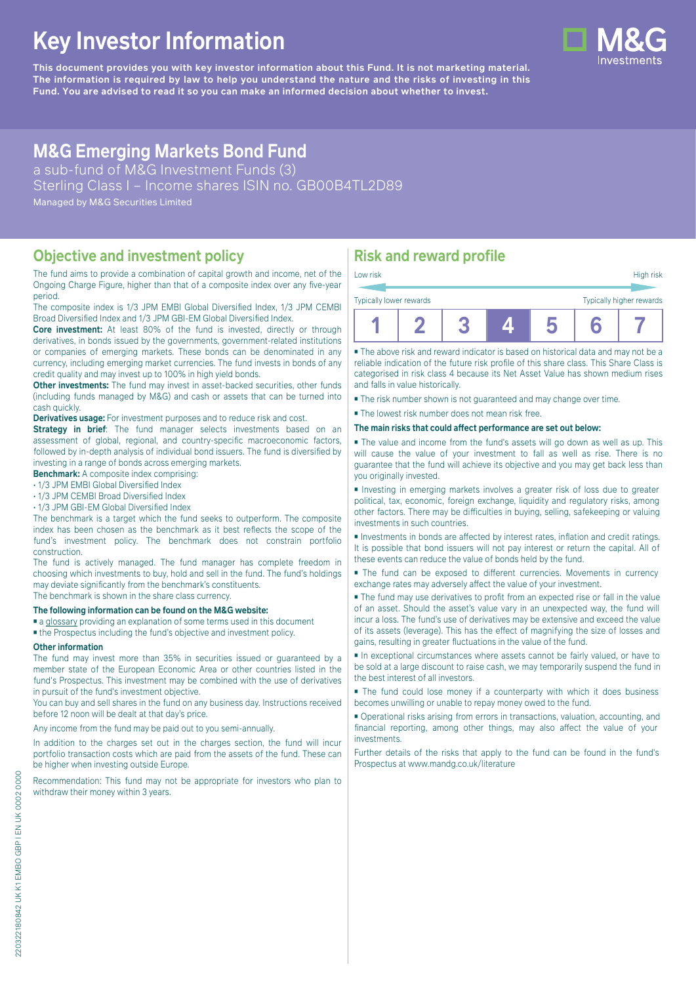# **Key Investor Information**

**This document provides you with key investor information about this Fund. It is not marketing material.** The information is required by law to help you understand the nature and the risks of investing in this **Fund. You are advised to read it so you can make an informed decision about whether to invest.**

# **M&G Emerging Markets Bond Fund**

a sub-fund of M&G Investment Funds (3) Sterling Class I – Income shares ISIN no. GB00B4TL2D89 Managed by M&G Securities Limited

## **Objective and investment policy**

The fund aims to provide a combination of capital growth and income, net of the Ongoing Charge Figure, higher than that of a composite index over any five-year period.

The composite index is 1/3 JPM EMBI Global Diversified Index, 1/3 JPM CEMBI Broad Diversified Index and 1/3 JPM GBI-EM Global Diversified Index.

Core investment: At least 80% of the fund is invested, directly or through derivatives, in bonds issued by the governments, government-related institutions or companies of emerging markets. These bonds can be denominated in any currency, including emerging market currencies. The fund invests in bonds of any credit quality and may invest up to 100% in high yield bonds.

**Other investments:** The fund may invest in asset-backed securities, other funds (including funds managed by M&G) and cash or assets that can be turned into cash quickly.

**Derivatives usage:** For investment purposes and to reduce risk and cost.

**Strategy in brief:** The fund manager selects investments based on an assessment of global, regional, and country-specific macroeconomic factors, followed by in-depth analysis of individual bond issuers. The fund is diversified by investing in a range of bonds across emerging markets.

**Benchmark:** A composite index comprising:

• 1/3 JPM EMBI Global Diversified Index

• 1/3 JPM CEMBI Broad Diversified Index

• 1/3 JPM GBI-EM Global Diversified Index

The benchmark is a target which the fund seeks to outperform. The composite index has been chosen as the benchmark as it best reflects the scope of the fund's investment policy. The benchmark does not constrain portfolio construction.

The fund is actively managed. The fund manager has complete freedom in choosing which investments to buy, hold and sell in the fund. The fund's holdings may deviate significantly from the benchmark's constituents. The benchmark is shown in the share class currency.

#### **The following information can be found on the M&G website:**

■ [a glossary](https://docs.mandg.com/docs/glossary-master-en.pdf) providing an explanation of some terms used in this document

■ the Prospectus including the fund's objective and investment policy.

#### **Other information**

The fund may invest more than 35% in securities issued or guaranteed by a member state of the European Economic Area or other countries listed in the fund's Prospectus. This investment may be combined with the use of derivatives in pursuit of the fund's investment objective.

You can buy and sell shares in the fund on any business day. Instructions received before 12 noon will be dealt at that day's price.

Any income from the fund may be paid out to you semi-annually.

In addition to the charges set out in the charges section, the fund will incur portfolio transaction costs which are paid from the assets of the fund. These can be higher when investing outside Europe.

Recommendation: This fund may not be appropriate for investors who plan to withdraw their money within 3 years.

## **Risk and reward profile**

| Typically lower rewards |  |  | Typically higher rewards |  |
|-------------------------|--|--|--------------------------|--|
| Low risk                |  |  | High risk                |  |

■ The above risk and reward indicator is based on historical data and may not be a reliable indication of the future risk profile of this share class. This Share Class is categorised in risk class 4 because its Net Asset Value has shown medium rises and falls in value historically.

■ The risk number shown is not guaranteed and may change over time.

■ The lowest risk number does not mean risk free.

**The main risks that could affect performance are set out below:**

■ The value and income from the fund's assets will go down as well as up. This will cause the value of your investment to fall as well as rise. There is no guarantee that the fund will achieve its objective and you may get back less than you originally invested.

■ Investing in emerging markets involves a greater risk of loss due to greater political, tax, economic, foreign exchange, liquidity and regulatory risks, among other factors. There may be difficulties in buying, selling, safekeeping or valuing investments in such countries.

■ Investments in bonds are affected by interest rates, inflation and credit ratings. It is possible that bond issuers will not pay interest or return the capital. All of these events can reduce the value of bonds held by the fund.

■ The fund can be exposed to different currencies. Movements in currency exchange rates may adversely affect the value of your investment.

■ The fund may use derivatives to profit from an expected rise or fall in the value of an asset. Should the asset's value vary in an unexpected way, the fund will incur a loss. The fund's use of derivatives may be extensive and exceed the value of its assets (leverage). This has the effect of magnifying the size of losses and gains, resulting in greater fluctuations in the value of the fund.

■ In exceptional circumstances where assets cannot be fairly valued, or have to be sold at a large discount to raise cash, we may temporarily suspend the fund in the best interest of all investors.

■ The fund could lose money if a counterparty with which it does business becomes unwilling or unable to repay money owed to the fund.

■ Operational risks arising from errors in transactions, valuation, accounting, and financial reporting, among other things, may also affect the value of your investments.

Further details of the risks that apply to the fund can be found in the fund's Prospectus at [www.mandg.co.uk/literature](http://www.mandg.co.uk/literature)